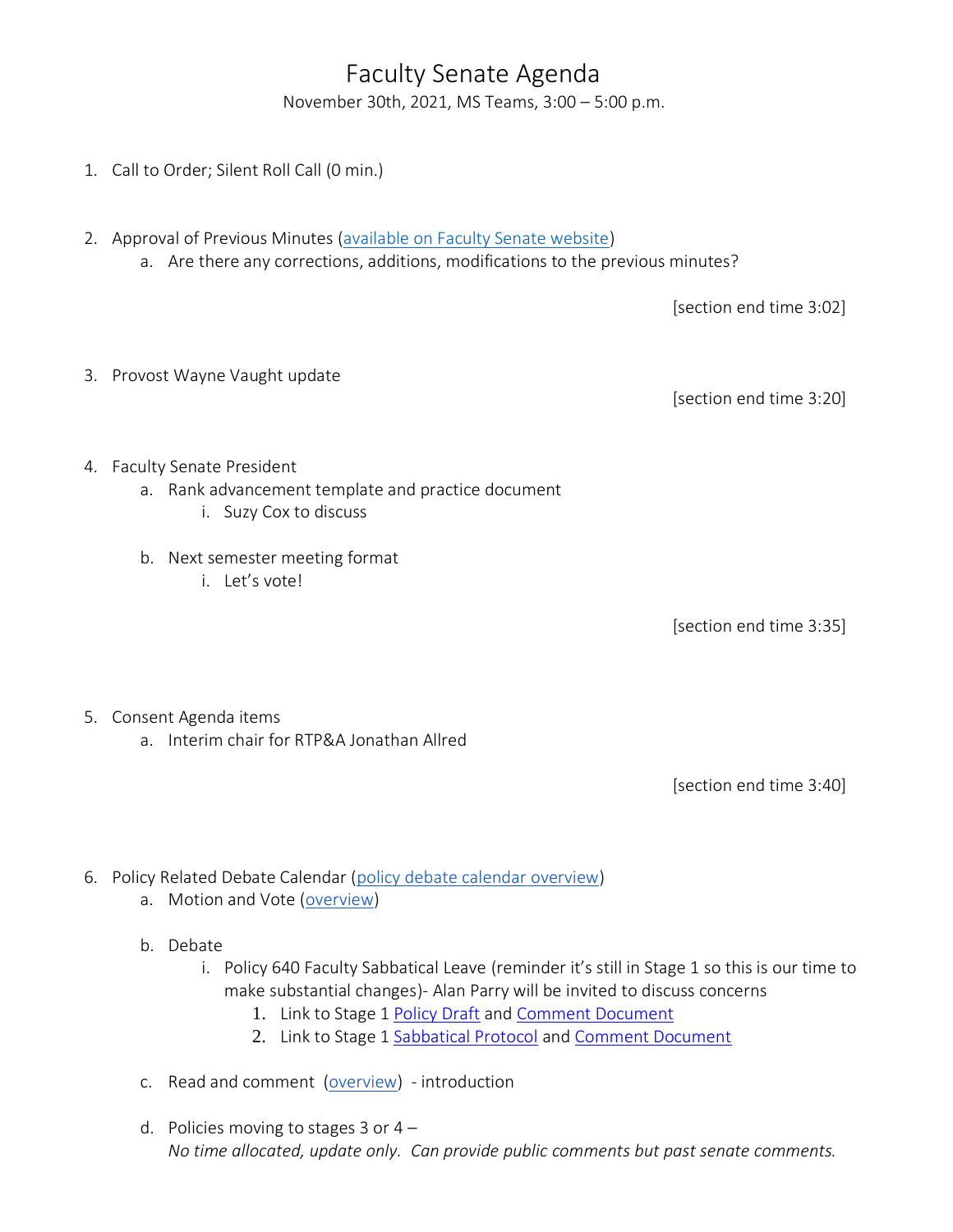## Faculty Senate Agenda

November 30th, 2021, MS Teams, 3:00 – 5:00 p.m.

- 1. Call to Order; Silent Roll Call (0 min.)
- 2. Approval of Previous Minutes [\(available on Faculty Senate website\)](https://www.uvu.edu/facsenate/minutes.html)
	- a. Are there any corrections, additions, modifications to the previous minutes?

[section end time 3:02]

3. Provost Wayne Vaught update

[section end time 3:20]

- 4. Faculty Senate President
	- a. Rank advancement template and practice document
		- i. Suzy Cox to discuss
	- b. Next semester meeting format
		- i. Let's vote!

[section end time 3:35]

- 5. Consent Agenda items
	- a. Interim chair for RTP&A Jonathan Allred

[section end time 3:40]

- 6. Policy Related Debate Calendar [\(policy debate calendar overview\)](https://drive.google.com/file/d/1qcAYtZh5lFnIa680jE2JKGygThjeMyzK/view?usp=sharing)
	- a. Motion and Vote [\(overview\)](https://drive.google.com/file/d/1qcAYtZh5lFnIa680jE2JKGygThjeMyzK/view?usp=sharing)
	- b. Debate
		- i. Policy 640 Faculty Sabbatical Leave (reminder it's still in Stage 1 so this is our time to make substantial changes)- Alan Parry will be invited to discuss concerns
			- 1. Link to Stage 1 [Policy Draft](https://drive.google.com/file/d/1fApsXDJYLHUDSM5TFHCCCvnnAamMqpJ8/view?usp=sharing) and [Comment Document](https://docs.google.com/document/d/1VQwxsVaLzKmJR53dy65JtCa76f130N0vaVjLfVkkDGA/edit?usp=sharing)
			- 2. Link to Stage 1 [Sabbatical Protocol](https://drive.google.com/file/d/1j-O5cpcahym_n3ZlAhpL28kExS6j_kKO/view?usp=sharing) and [Comment Document](https://docs.google.com/document/d/1wclejXm_Sa612V4dlhqkzvdvhaebRNTjmezRGU-UX0Q/edit?usp=sharing)
	- c. Read and comment [\(overview\)](https://drive.google.com/file/d/1qcAYtZh5lFnIa680jE2JKGygThjeMyzK/view?usp=sharing) introduction
	- d. Policies moving to stages  $3$  or  $4 -$ *No time allocated, update only. Can provide public comments but past senate comments.*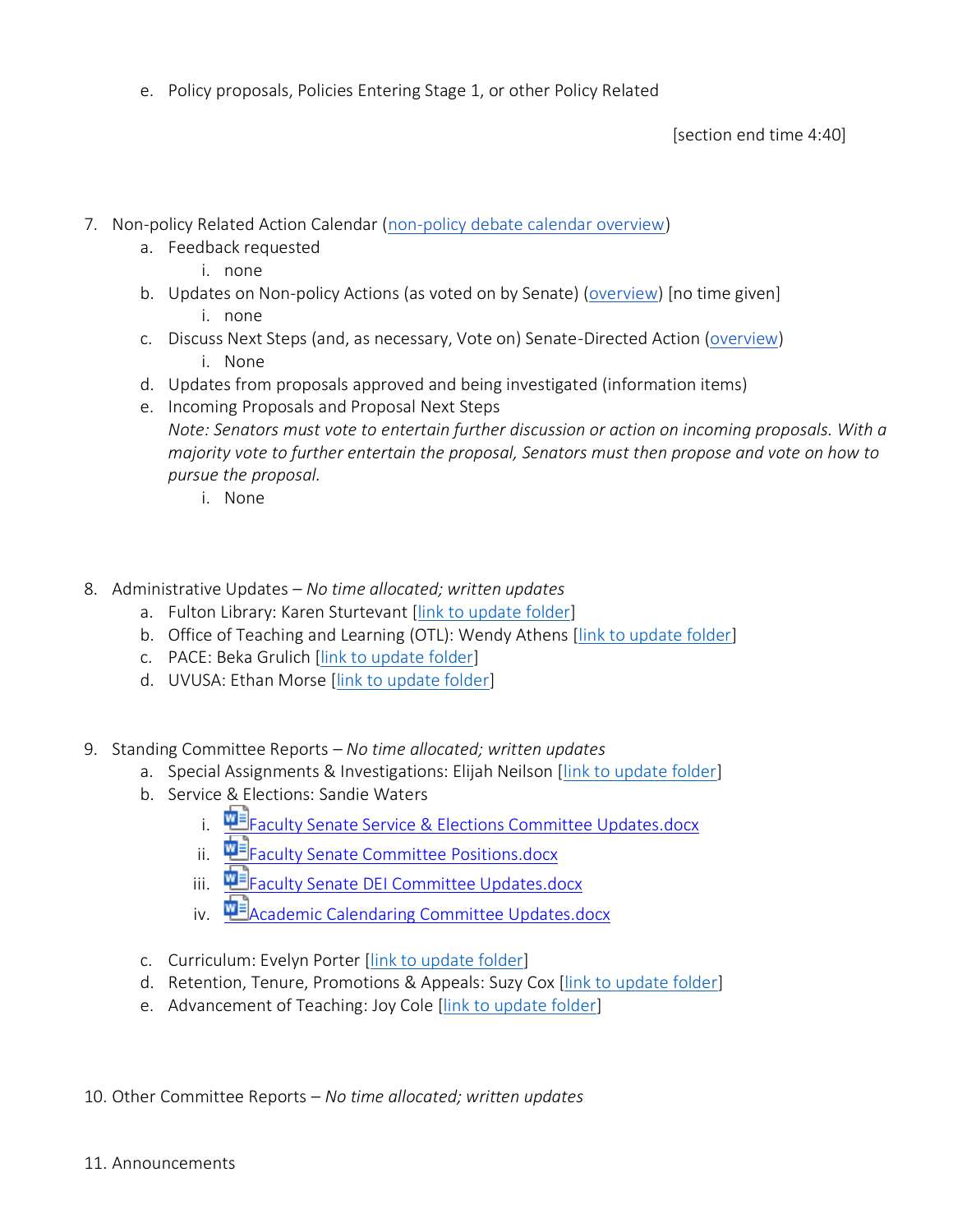e. Policy proposals, Policies Entering Stage 1, or other Policy Related

[section end time 4:40]

- 7. Non-policy Related Action Calendar [\(non-policy debate calendar overview\)](https://docs.google.com/document/d/1zrPy0Fn9xcOhidd1XMgo1opj-lYb_9aTvLKg_NI1eLA/edit?usp=sharing)
	- a. Feedback requested
		- i. none
	- b. Updates on Non-policy Actions (as voted on by Senate) [\(overview\)](https://docs.google.com/document/d/1zrPy0Fn9xcOhidd1XMgo1opj-lYb_9aTvLKg_NI1eLA/edit#bookmark=id.20s1i57f673d) [no time given]
		- i. none
	- c. Discuss Next Steps (and, as necessary, Vote on) Senate-Directed Action [\(overview\)](https://docs.google.com/document/d/1zrPy0Fn9xcOhidd1XMgo1opj-lYb_9aTvLKg_NI1eLA/edit#bookmark=id.1turi862unvt) i. None
	- d. Updates from proposals approved and being investigated (information items)
	- e. Incoming Proposals and Proposal Next Steps *Note: Senators must vote to entertain further discussion or action on incoming proposals. With a majority vote to further entertain the proposal, Senators must then propose and vote on how to pursue the proposal.*
		- i. None
- 8. Administrative Updates *– No time allocated; written updates*
	- a. Fulton Library: Karen Sturtevant [\[link to update folder\]](https://drive.google.com/drive/folders/1CJZnOvFahmJJZJojR2XBd0U8PclC3aHK?usp=sharing)
	- b. Office of Teaching and Learning (OTL): Wendy Athens [\[link to update folder\]](https://drive.google.com/drive/folders/1o5Tj_1mbe6qVJWyGFA9FNQMAx0zgjyM9?usp=sharing)
	- c. PACE: Beka Grulich [\[link to update folder\]](https://drive.google.com/drive/folders/1Ine7rBIg27FdgKErlcWF5p9Nx0tJNwok?usp=sharing)
	- d. UVUSA: Ethan Morse [\[link to update folder\]](https://drive.google.com/drive/folders/1GXZgi4LTLaWWG5uZ1_7PXCZi9GB43BZm?usp=sharing)
- 9. Standing Committee Reports *– No time allocated; written updates*
	- a. Special Assignments & Investigations: Elijah Neilson [\[link to update folder\]](https://drive.google.com/drive/folders/1e9MbUhAQO28YnSWhseDbZv13PkR6mIFT?usp=sharing)
	- b. Service & Elections: Sandie Waters
		- i. 中国[Faculty Senate Service & Elections Committee Updates.docx](https://uvu365.sharepoint.com/:w:/s/ServiceElectionsChairs/EXxOn1zvCHVEgniRfP0Oi9cBT2zC99MFxAB3x2KHzQZ94g?e=mKuPuw&isSPOFile=1)
		- ii. **WE [Faculty Senate Committee Positions.docx](https://uvu365.sharepoint.com/:w:/s/ServiceElectionsChairs/EbT5tySbhVJFm1LJ8jmH4_kBdIHgMC78fR-c32IeB5iPXg)**
		- iii. **中**目<br>The Senate DEI Committee Updates.docx
		- iv. **WE** [Academic Calendaring Committee Updates.docx](https://uvu365.sharepoint.com/:w:/s/AcademicCalendaringCommittee/EWUePzXIiXFDo-0BOAxf2UsBVHFmEYbYSrBnzfhU9agBoQ)
	- c. Curriculum: Evelyn Porter [\[link to update folder\]](https://drive.google.com/drive/folders/1nmajpZEE1SMDuDUxH2TU1c5ZOMePqpNq?usp=sharing)
	- d. Retention, Tenure, Promotions & Appeals: Suzy Cox [\[link to update folder\]](https://drive.google.com/drive/folders/1KmSYHGOTqmgMdsLWbR6Wbh4wp6LGxzaW?usp=sharing)
	- e. Advancement of Teaching: Joy Cole [\[link to update folder\]](https://drive.google.com/drive/folders/1SLA6DXPFtJWfKXXMauqLOIJoudZjtJ0O?usp=sharing)
- 10. Other Committee Reports *No time allocated; written updates*